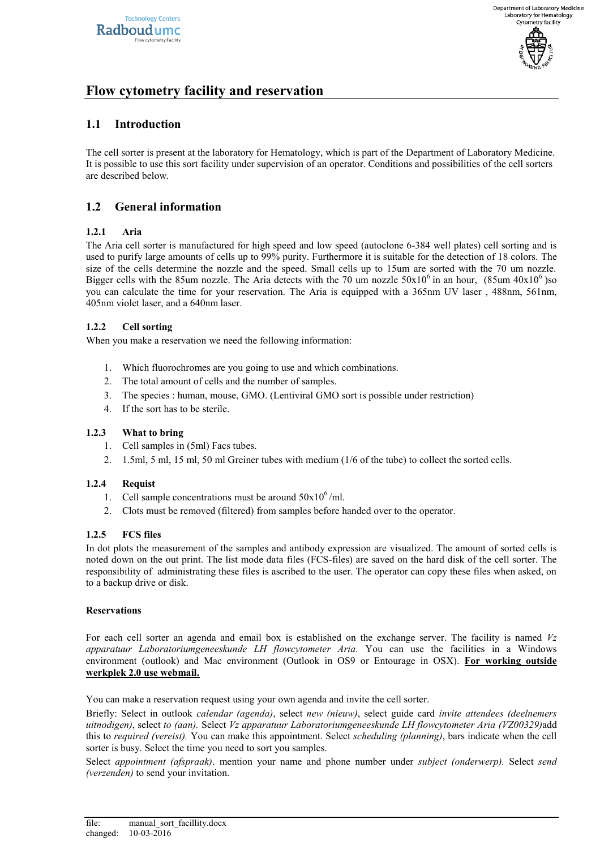

# **Flow cytometry facility and reservation**

## **1.1 Introduction**

The cell sorter is present at the laboratory for Hematology, which is part of the Department of Laboratory Medicine. It is possible to use this sort facility under supervision of an operator. Conditions and possibilities of the cell sorters are described below.

## **1.2 General information**

### **1.2.1 Aria**

The Aria cell sorter is manufactured for high speed and low speed (autoclone 6-384 well plates) cell sorting and is used to purify large amounts of cells up to 99% purity. Furthermore it is suitable for the detection of 18 colors. The size of the cells determine the nozzle and the speed. Small cells up to 15um are sorted with the 70 um nozzle. Bigger cells with the 85um nozzle. The Aria detects with the 70 um nozzle  $50x10^6$  in an hour,  $(85um 40x10^6)$ so you can calculate the time for your reservation. The Aria is equipped with a 365nm UV laser , 488nm, 561nm, 405nm violet laser, and a 640nm laser.

### **1.2.2 Cell sorting**

When you make a reservation we need the following information:

- 1. Which fluorochromes are you going to use and which combinations.
- 2. The total amount of cells and the number of samples.
- 3. The species : human, mouse, GMO. (Lentiviral GMO sort is possible under restriction)
- 4. If the sort has to be sterile.

### **1.2.3 What to bring**

- 1. Cell samples in (5ml) Facs tubes.
- 2. 1.5ml, 5 ml, 15 ml, 50 ml Greiner tubes with medium (1/6 of the tube) to collect the sorted cells.

### **1.2.4 Requist**

- 1. Cell sample concentrations must be around  $50x10^6$ /ml.
- 2. Clots must be removed (filtered) from samples before handed over to the operator.

#### **1.2.5 FCS files**

In dot plots the measurement of the samples and antibody expression are visualized. The amount of sorted cells is noted down on the out print. The list mode data files (FCS-files) are saved on the hard disk of the cell sorter. The responsibility of administrating these files is ascribed to the user. The operator can copy these files when asked, on to a backup drive or disk.

#### **Reservations**

For each cell sorter an agenda and email box is established on the exchange server. The facility is named *Vz apparatuur Laboratoriumgeneeskunde LH flowcytometer Aria.* You can use the facilities in a Windows environment (outlook) and Mac environment (Outlook in OS9 or Entourage in OSX). **For working outside werkplek 2.0 use webmail.**

You can make a reservation request using your own agenda and invite the cell sorter.

Briefly: Select in outlook *calendar (agenda)*, select *new (nieuw)*, select guide card *invite attendees (deelnemers uitnodigen)*, select *to (aan).* Select *Vz apparatuur Laboratoriumgeneeskunde LH flowcytometer Aria (VZ00329)*add this to *required (vereist).* You can make this appointment. Select *scheduling (planning)*, bars indicate when the cell sorter is busy. Select the time you need to sort you samples.

Select *appointment (afspraak)*. mention your name and phone number under *subject (onderwerp).* Select *send (verzenden)* to send your invitation.